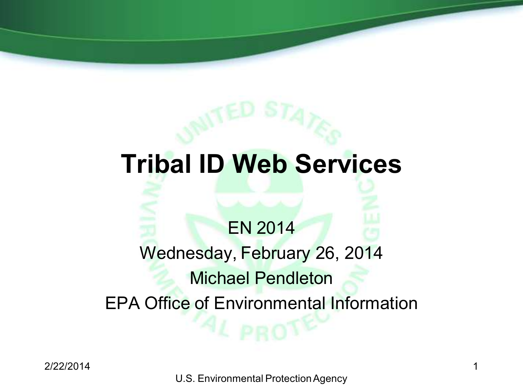# **Tribal ID Web Services**

### EN 2014

# Wednesday, February 26, 2014 Michael Pendleton EPA Office of Environmental Information

U.S. Environmental Protection Agency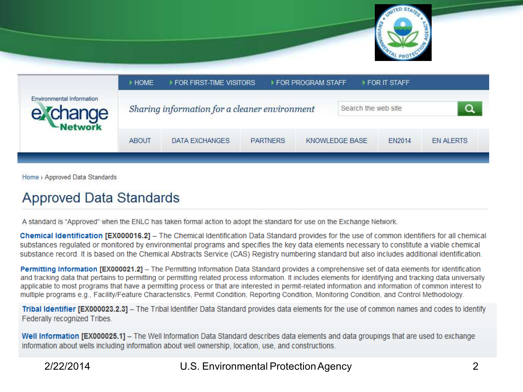

|                                       | <b>HOME</b>  | FOR FIRST-TIME VISITORS                       |                 | ▶ FOR PROGRAM STAFF |                | ▶ FOR IT STAFF   |  |  |
|---------------------------------------|--------------|-----------------------------------------------|-----------------|---------------------|----------------|------------------|--|--|
| Environmental Information<br>e Change |              | Sharing information for a cleaner environment |                 | Search the web site |                |                  |  |  |
|                                       | <b>ABOUT</b> | DATA EXCHANGES                                | <b>PARTNERS</b> |                     | KNOWLEDGE BASE | <b>EN ALERTS</b> |  |  |

Home > Approved Data Standards

### **Approved Data Standards**

A standard is "Approved" when the ENLC has taken formal action to adopt the standard for use on the Exchange Network.

Chemical Identification [EX000016.2] - The Chemical Identification Data Standard provides for the use of common identifiers for all chemical substances regulated or monitored by environmental programs and specifies the key data elements necessary to constitute a viable chemical substance record. It is based on the Chemical Abstracts Service (CAS) Registry numbering standard but also includes additional identification.

Permitting Information [EX000021.2] - The Permitting Information Data Standard provides a comprehensive set of data elements for identification and tracking data that pertains to permitting or permitting related process information. It includes elements for identifying and tracking data universally applicable to most programs that have a permitting process or that are interested in permit-related information and information of common interest to multiple programs e.g., Facility/Feature Characteristics, Permit Condition, Reporting Condition, Monitoring Condition, and Control Methodology.

Tribal Identifier [EX000023.2.3] - The Tribal Identifier Data Standard provides data elements for the use of common names and codes to identify Federally recognized Tribes.

Well Information [EX000025.1] - The Well Information Data Standard describes data elements and data groupings that are used to exchange information about wells including information about well ownership, location, use, and constructions.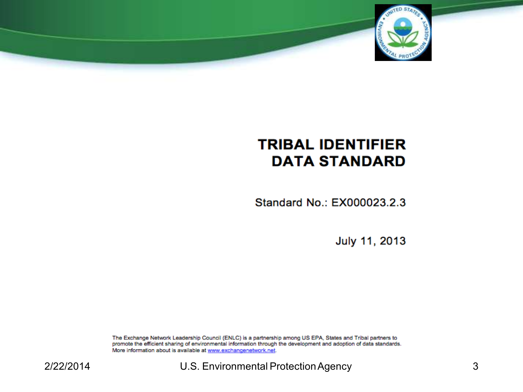

### **TRIBAL IDENTIFIER DATA STANDARD**

Standard No.: EX000023.2.3

July 11, 2013

The Exchange Network Leadership Council (ENLC) is a partnership among US EPA, States and Tribal partners to promote the efficient sharing of environmental information through the development and adoption of data standards. More information about is available at www.exchangenetwork.net.

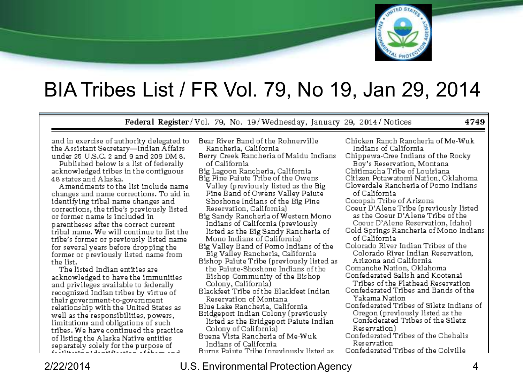

### BIA Tribes List / FR Vol. 79, No 19, Jan 29, 2014

Federal Register/Vol. 79, No. 19/Wednesday, January 29, 2014/Notices

4749

and in exercise of authority delegated to the Assistant Secretary-Indian Affairs under 25 U.S.C. 2 and 9 and 209 DM 8.

Published below is a list of federally acknowledged tribes in the contiguous 48 states and Alaska.

Amendments to the list include name changes and name corrections. To aid in identifying tribal name changes and corrections, the tribe's previously listed or former name is included in parentheses after the correct current tribal name. We will continue to list the tribe's former or previously listed name for several years before dropping the former or previously listed name from the list.

The listed Indian entities are acknowledged to have the immunities and privileges available to federally recognized Indian tribes by virtue of their government-to-government relationship with the United States as well as the responsibilities, powers, limitations and obligations of such tribes. We have continued the practice of listing the Alaska Native entities separately solely for the purpose of

| Bear River Band of the Rohnerville                                                                             | Chicke  |
|----------------------------------------------------------------------------------------------------------------|---------|
| Rancheria, California                                                                                          | India   |
| Berry Creek Rancheria of Maidu Indians                                                                         | Chippe  |
| of California                                                                                                  | Boy'    |
| Big Lagoon Rancheria, California                                                                               | Chitim  |
|                                                                                                                |         |
| Big Pine Paiute Tribe of the Owens                                                                             | Citizen |
| Valley (previously listed as the Big                                                                           | Clover  |
| Pine Band of Owens Valley Paiute                                                                               | of Ca   |
| Shoshone Indians of the Big Pine                                                                               | Сосора  |
| Reservation, California)                                                                                       | Coeur:  |
| Big Sandy Rancheria of Western Mono                                                                            | as th   |
| Indians of California (previously                                                                              | Coet    |
|                                                                                                                | Cold S  |
| listed as the Big Sandy Rancheria of                                                                           |         |
| Mono Indians of California)                                                                                    | of Ca   |
| Big Valley Band of Pomo Indians of the                                                                         | Colora  |
| Big Valley Rancheria, California                                                                               | Colo    |
| Bishop Paiute Tribe (previously listed as                                                                      | Ariz    |
| the Paiute-Shoshone Indians of the                                                                             | Coman   |
| Bishop Community of the Bishop                                                                                 | Confed  |
| Colony, California)                                                                                            | Trib    |
|                                                                                                                | Confed  |
| Blackfeet Tribe of the Blackfeet Indian                                                                        |         |
| Reservation of Montana                                                                                         | Yaka    |
| Blue Lake Rancheria, California                                                                                | Confed  |
| Bridgeport Indian Colony (previously                                                                           | Oreg    |
| distribution in the common to the field of the field of the field of the field of the second to the second the | Cort    |

listed as the Bridgeport Paiute Indian Colony of Californial

Buena Vista Rancheria of Me-Wuk Indians of California Burns Painte Tribe (previously listed as

en Ranch Rancheria of Me-Wuk ans of California. ewa-Cree Indians of the Rocky 's Reservation, Montana acha Tribe of Louisiana. ı Potawatomi Nation, Oklahoma dale Rancheria of Pomo Indians alifornia ah Tribe of Arizona D'Alene Tribe (previously listed e Coeur D'Alene Tribe of the ır D'Alene Reservation, Idaho) prings Rancheria of Mono Indians) alifornia. do River Indian Tribes of the rado River Indian Reservation. ona and California iche Nation. Oklahoma lerated Salish and Kootenai es of the Flathead Reservation. lerated Tribes and Bands of the ama Nationi lerated Tribes of Siletz Indians of on (previously listed as the Confederated Tribes of the Siletz Reservation) Confederated Tribes of the Chehalis Reservation

Confederated Tribes of the Colville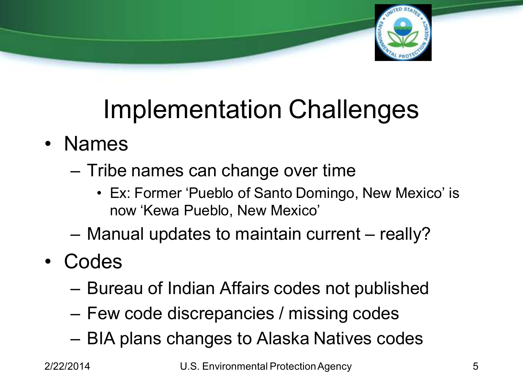

# Implementation Challenges

- Names
	- Tribe names can change over time
		- Ex: Former 'Pueblo of Santo Domingo, New Mexico' is now 'Kewa Pueblo, New Mexico'
	- Manual updates to maintain current really?
- Codes
	- Bureau of Indian Affairs codes not published
	- Few code discrepancies / missing codes
	- BIA plans changes to Alaska Natives codes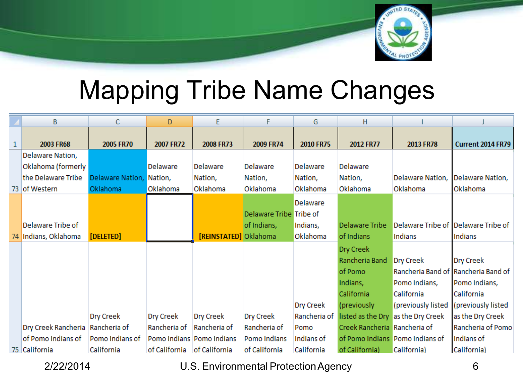

## Mapping Tribe Name Changes

|              | B                                  | С                        | D             | Е                         | F                       | G                | н                            |                                    |                                     |
|--------------|------------------------------------|--------------------------|---------------|---------------------------|-------------------------|------------------|------------------------------|------------------------------------|-------------------------------------|
|              |                                    |                          |               |                           |                         |                  |                              |                                    |                                     |
| $\mathbf{1}$ | 2003 FR68                          | 2005 FR70                | 2007 FR72     | 2008 FR73                 | 2009 FR74               | <b>2010 FR75</b> | 2012 FR77                    | 2013 FR78                          | <b>Current 2014 FR79</b>            |
|              | Delaware Nation,                   |                          |               |                           |                         |                  |                              |                                    |                                     |
|              | Oklahoma (formerly                 |                          | Delaware      | Delaware                  | Delaware                | Delaware         | Delaware                     |                                    |                                     |
|              | the Delaware Tribe                 | Delaware Nation, Nation, |               | Nation,                   | Nation,                 | Nation,          | Nation,                      | Delaware Nation,                   | Delaware Nation,                    |
|              | 73 of Western                      | Oklahoma                 | Oklahoma      | Oklahoma                  | Oklahoma                | Oklahoma         | Oklahoma                     | Oklahoma                           | Oklahoma                            |
|              |                                    |                          |               |                           |                         | Delaware         |                              |                                    |                                     |
|              |                                    |                          |               |                           | Delaware Tribe Tribe of |                  |                              |                                    |                                     |
|              | Delaware Tribe of                  |                          |               |                           | of Indians,             | Indians,         | Delaware Tribe               |                                    | Delaware Tribe of Delaware Tribe of |
|              | 74 Indians, Oklahoma               | [DELETED]                |               | [REINSTATED] Oklahoma     |                         | Oklahoma         | of Indians                   | Indians                            | Indians                             |
|              |                                    |                          |               |                           |                         |                  | Dry Creek                    |                                    |                                     |
|              |                                    |                          |               |                           |                         |                  | Rancheria Band               | Dry Creek                          | Dry Creek                           |
|              |                                    |                          |               |                           |                         |                  | of Pomo                      |                                    | Rancheria Band of Rancheria Band of |
|              |                                    |                          |               |                           |                         |                  | Indians,                     | Pomo Indians,                      | Pomo Indians,                       |
|              |                                    |                          |               |                           |                         |                  | California                   | California                         | California                          |
|              |                                    |                          |               |                           |                         | Dry Creek        | (previously                  | (previously listed                 | (previously listed                  |
|              |                                    |                          |               |                           |                         |                  |                              |                                    |                                     |
|              |                                    | Dry Creek                | Dry Creek     | Dry Creek                 | Dry Creek               | Rancheria of     |                              | listed as the Dry as the Dry Creek | as the Dry Creek                    |
|              | Dry Creek Rancheria   Rancheria of |                          | Rancheria of  | Rancheria of              | Rancheria of            | Pomo             | Creek Rancheria Rancheria of |                                    | Rancheria of Pomo                   |
|              | of Pomo Indians of                 | Pomo Indians of          |               | Pomo Indians Pomo Indians | Pomo Indians            | Indians of       |                              | of Pomo Indians Pomo Indians of    | Indians of                          |
|              | 75 California                      | California               | of California | of California             | of California           | California       | of California)               | California)                        | California)                         |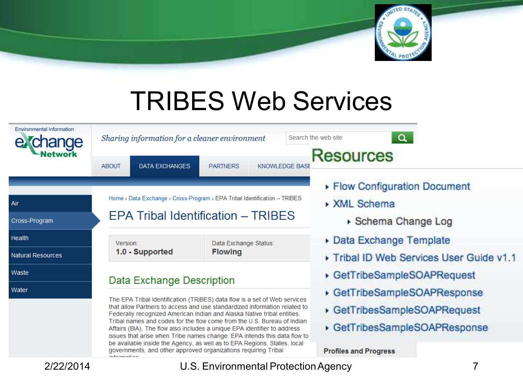

## TRIBES Web Services

| <b>Environmental Information</b><br>anae<br>letwork | Sharing information for a cleaner environment                                 |                                                                                                                                                      | $\alpha$<br>Search the web site<br><b>Resources</b>       |  |  |  |  |  |
|-----------------------------------------------------|-------------------------------------------------------------------------------|------------------------------------------------------------------------------------------------------------------------------------------------------|-----------------------------------------------------------|--|--|--|--|--|
|                                                     | <b>DATA EXCHANGES</b><br><b>ABOUT</b>                                         | <b>PARTNERS</b><br><b>KNOWLEDGE BASE</b>                                                                                                             |                                                           |  |  |  |  |  |
|                                                     | Home > Data Exchange > Cross-Program > EPA Tribal Identification - TRIBES     |                                                                                                                                                      | ▶ Flow Configuration Document                             |  |  |  |  |  |
| Air                                                 |                                                                               |                                                                                                                                                      | <b>XML Schema</b>                                         |  |  |  |  |  |
| Cross-Program                                       | EPA Tribal Identification - TRIBES                                            |                                                                                                                                                      | ▶ Schema Change Log                                       |  |  |  |  |  |
| <b>Health</b>                                       | Version:                                                                      | Data Exchange Status:                                                                                                                                | Data Exchange Template                                    |  |  |  |  |  |
| <b>Natural Resources</b>                            | 1.0 - Supported                                                               | <b>Flowing</b>                                                                                                                                       | Tribal ID Web Services User Guide v1.1                    |  |  |  |  |  |
| Waste                                               | Data Exchange Description                                                     |                                                                                                                                                      | GetTribeSampleSOAPRequest<br>GetTribeSampleSOAPResponse   |  |  |  |  |  |
| Water                                               |                                                                               | The EPA Tribal Identification (TRIBES) data flow is a set of Web services                                                                            |                                                           |  |  |  |  |  |
|                                                     | Federally recognized American Indian and Alaska Native tribal entities.       | that allow Partners to access and use standardized information related to<br>Tribal names and codes for the flow come from the U.S. Bureau of Indian | GetTribesSampleSOAPRequest<br>GetTribesSampleSOAPResponse |  |  |  |  |  |
|                                                     | Affairs (BIA). The flow also includes a unique EPA identifier to address      | issues that arise when Tribe names change. EPA intends this data flow to                                                                             |                                                           |  |  |  |  |  |
|                                                     | governments, and other approved organizations requiring Tribal<br>information | be available inside the Agency, as well as to EPA Regions, States, local                                                                             | <b>Profiles and Progress</b>                              |  |  |  |  |  |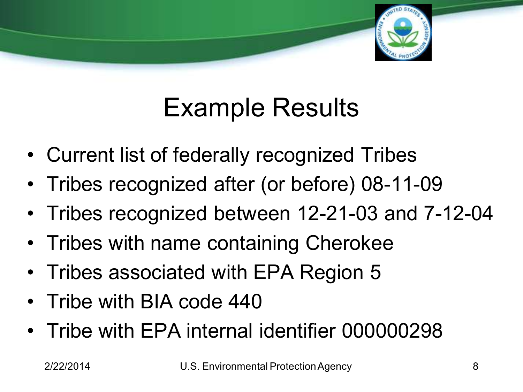

# Example Results

- Current list of federally recognized Tribes
- Tribes recognized after (or before) 08-11-09
- Tribes recognized between 12-21-03 and 7-12-04
- Tribes with name containing Cherokee
- Tribes associated with EPA Region 5
- Tribe with BIA code 440
- Tribe with EPA internal identifier 000000298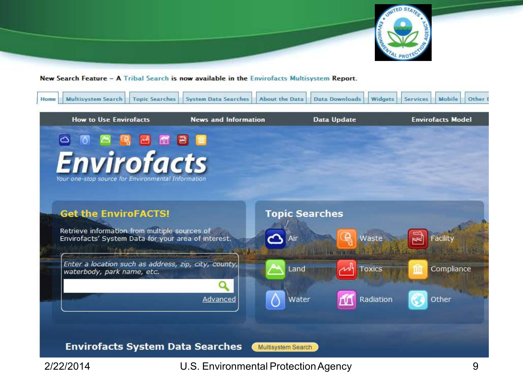

#### New Search Feature - A Tribal Search is now available in the Envirofacts Multisystem Report.

| Home | <b>Multisystem Search</b><br><b>Topic Searches</b>                                                                                                               | <b>System Data Searches</b>          | <b>About the Data</b>        | <b>Data Downloads</b><br><b>Widgets</b>     | <b>Services</b> | Other<br>Mobile          |
|------|------------------------------------------------------------------------------------------------------------------------------------------------------------------|--------------------------------------|------------------------------|---------------------------------------------|-----------------|--------------------------|
|      | <b>How to Use Envirofacts</b>                                                                                                                                    | <b>News and Information</b>          |                              | Data Update                                 |                 | <b>Envirofacts Model</b> |
|      | 画                                                                                                                                                                |                                      |                              |                                             |                 |                          |
|      | <b>Envirofacts</b><br>Your one-stop source for Environmental Information                                                                                         |                                      |                              |                                             |                 |                          |
|      | <b>Get the EnviroFACTS!</b><br>Retrieve information from multiple sources of<br>Envirofacts' System Data for your area of interest.<br><b>TIMA PERSONALISTIC</b> |                                      | <b>Topic Searches</b><br>Air | e<br>Waste<br><b>Harry Director College</b> |                 | Facilit                  |
|      | Enter a location such as address, zip, city, county,<br>waterbody, park name, etc.                                                                               |                                      | Land                         | Toxics                                      |                 | Compliance               |
|      | <b>Envirofacts System Data Searches</b>                                                                                                                          | Advanced                             | Water<br>Multisystem Search  | Radiation                                   |                 | Other                    |
|      | 2/22/2014                                                                                                                                                        | U.S. Environmental Protection Agency |                              |                                             |                 | 9                        |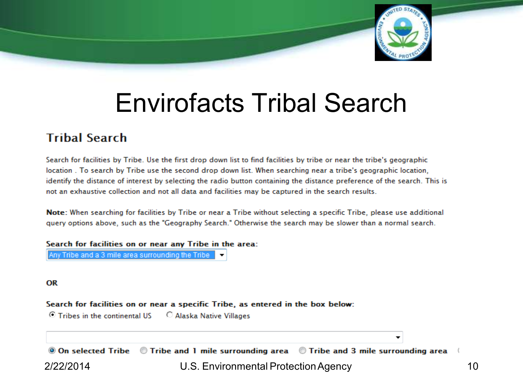

## Envirofacts Tribal Search

### **Tribal Search**

Search for facilities by Tribe. Use the first drop down list to find facilities by tribe or near the tribe's geographic location. To search by Tribe use the second drop down list. When searching near a tribe's geographic location, identify the distance of interest by selecting the radio button containing the distance preference of the search. This is not an exhaustive collection and not all data and facilities may be captured in the search results.

Note: When searching for facilities by Tribe or near a Tribe without selecting a specific Tribe, please use additional guery options above, such as the "Geography Search." Otherwise the search may be slower than a normal search.

Search for facilities on or near any Tribe in the area:

Any Tribe and a 3 mile area surrounding the Tribe

**OR** 

Search for facilities on or near a specific Tribe, as entered in the box below:

© Tribes in the continental US C Alaska Native Villages

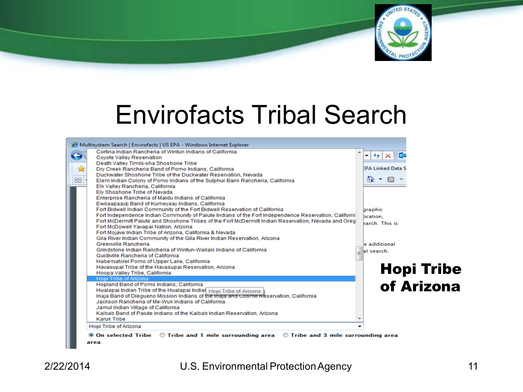

## Envirofacts Tribal Search

|                       | Cortina Indian Rancheria of Wintun Indians of California<br>Coyote Valley Reservation<br>Death Valley Timbi-sha Shoshone Tribe<br>Dry Creek Rancheria Band of Pomo Indians, California<br>Duckwater Shoshone Tribe of the Duckwater Reservation, Nevada | $\times$ 0<br>$++$<br>▼<br><b>EPA Linked Data S</b> |
|-----------------------|---------------------------------------------------------------------------------------------------------------------------------------------------------------------------------------------------------------------------------------------------------|-----------------------------------------------------|
|                       |                                                                                                                                                                                                                                                         |                                                     |
|                       |                                                                                                                                                                                                                                                         |                                                     |
|                       |                                                                                                                                                                                                                                                         |                                                     |
|                       |                                                                                                                                                                                                                                                         |                                                     |
|                       |                                                                                                                                                                                                                                                         | $\mathcal{L}_{\mathcal{F}}$                         |
|                       | Elem Indian Colony of Pomo Indians of the Sulphur Bank Rancheria, California                                                                                                                                                                            | 倫<br>R.                                             |
|                       | Elk Valley Rancheria, California                                                                                                                                                                                                                        |                                                     |
|                       | Elv Shoshone Tribe of Nevada                                                                                                                                                                                                                            |                                                     |
|                       | Enterprise Rancheria of Maidu Indians of California                                                                                                                                                                                                     |                                                     |
|                       | Ewijaapaayp Band of Kumeyaay Indians, California                                                                                                                                                                                                        |                                                     |
|                       | Fort Bidwell Indian Community of the Fort Bidwell Reservation of California                                                                                                                                                                             | <b>graphic</b>                                      |
|                       | Fort Independence Indian Community of Paiute Indians of the Fort Independence Reservation, Californi                                                                                                                                                    | bcation,                                            |
|                       | Fort McDermitt Paiute and Shoshone Tribes of the Fort McDermitt Indian Reservation, Nevada and Oreg                                                                                                                                                     | earch. This is                                      |
|                       | Fort McDowell Yavapai Nation, Arizona                                                                                                                                                                                                                   |                                                     |
|                       | Fort Mojave Indian Tribe of Arizona, California & Nevada                                                                                                                                                                                                |                                                     |
| Greenville Rancheria  | Gila River Indian Community of the Gila River Indian Reservation, Arizona                                                                                                                                                                               | e additional                                        |
|                       | Grindstone Indian Rancheria of Wintun-Wailaki Indians of California                                                                                                                                                                                     |                                                     |
|                       | Guidiville Rancheria of California                                                                                                                                                                                                                      | al search.                                          |
|                       | Habematolel Pomo of Upper Lake, California                                                                                                                                                                                                              |                                                     |
|                       | Havasupai Tribe of the Havasupai Reservation, Arizona                                                                                                                                                                                                   |                                                     |
|                       | Hoopa Valley Tribe, California                                                                                                                                                                                                                          | <b>Hopi Tribe</b>                                   |
| Hopi Tribe of Arizona |                                                                                                                                                                                                                                                         |                                                     |
|                       | Hopland Band of Pomo Indians, California                                                                                                                                                                                                                |                                                     |
|                       | Hualapai Indian Tribe of the Hualapai Indian Hopi Tribe of Arizona                                                                                                                                                                                      | of Arizona                                          |
|                       | Inaja Band of Diegueno Mission Indians of the maja and Cosmit Reservation, California                                                                                                                                                                   |                                                     |
|                       | Jackson Rancheria of Me-Wuk Indians of California                                                                                                                                                                                                       |                                                     |
|                       | Jamul Indian Village of California                                                                                                                                                                                                                      |                                                     |
|                       | Kaibab Band of Paiute Indians of the Kaibab Indian Reservation, Arizona                                                                                                                                                                                 |                                                     |
| <b>Karuk Tribe</b>    |                                                                                                                                                                                                                                                         |                                                     |
| Hopi Tribe of Arizona |                                                                                                                                                                                                                                                         |                                                     |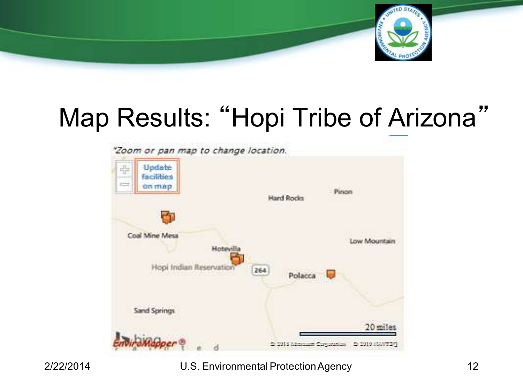

# Map Results: "Hopi Tribe of Arizona"

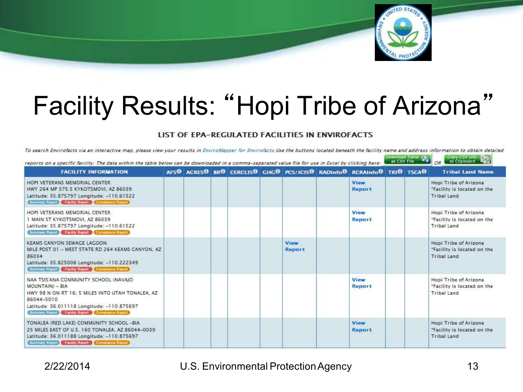

# Facility Results: "Hopi Tribe of Arizona"

#### LIST OF EPA-REGULATED FACILITIES IN ENVIROFACTS

To search Envirofacts via an interactive map, please view your results in EnviroMapper for Envirofacts Use the buttons located beneath the facility name and address information to obtain detailed

| reports on a specific facility. The data within the table below can be downloaded in a comma-separated value file for use in Excel by clicking here:                                                                       |  |  |  |                       |  |                                                                       | Download Table Like | Capy CSV URL TO<br>OR |                                                                            |
|----------------------------------------------------------------------------------------------------------------------------------------------------------------------------------------------------------------------------|--|--|--|-----------------------|--|-----------------------------------------------------------------------|---------------------|-----------------------|----------------------------------------------------------------------------|
| <b>FACILITY INFORMATION</b>                                                                                                                                                                                                |  |  |  |                       |  | AFSO ACRESO BRO CERCLISO GHGO PCS/ICISO RADInfo® RCRAInfoO TRIO TSCAO |                     |                       | <b>Tribal Land Name</b>                                                    |
| HOPI VETERANS MEMORIAL CENTER<br>HWY 264 MP 375.5 KYKOTSMOVI, AZ 86039<br>Latitude: 35.875797 Longitude: -110.61522<br>Summary Report Facility Report Compliance Report                                                    |  |  |  |                       |  | <b>View</b><br><b>Report</b>                                          |                     |                       | Hopi Tribe of Arizona<br>"Facility is located on the<br>Tribal Land        |
| HOPI VETERANS MEMORIAL CENTER<br>1 MAIN ST KYKOTSMOVI. AZ 86039<br>Latitude: 35.875797 Longitude: - 110.61522<br>Summary Report Facility Report Compliance Report                                                          |  |  |  |                       |  | View<br>Report                                                        |                     |                       | Hopi Tribe of Arizona<br>"Facility is located on the<br>Tribal Land        |
| KEAMS CANYON SEWAGE LAGOON<br>MILE POST 01 - WEST STATE RD 264 KEAMS CANYON, AZ<br>86034<br>Latitude: 35.825006 Longitude: -110.222349<br>Summary Report Facility Report Compliance Report                                 |  |  |  | <b>View</b><br>Report |  |                                                                       |                     |                       | Hopi Tribe of Arizona<br>"Facility is located on the<br><b>Tribal Land</b> |
| NAA TSIS'ANA COMMUNITY SCHOOL (NAVAIO)<br>MOUNTAIN) - BIA<br>HWY 98 N ON RT 16: 5 MILES INTO UTAH TONALEA, AZ<br>86044-5010<br>Latitude: 36.011118 Longitude: -110.875697<br>Summary Report Facety Report Comprance Report |  |  |  |                       |  | View<br>Report                                                        |                     |                       | Hopi Tribe of Arizona<br>"Facility is located on the<br>Tribal Land        |
| TONALEA (RED LAKE) COMMUNITY SCHOOL -BIA<br>25 MILES EAST OF U.S. 160 TONALEA, AZ 86044-0039<br>Latitude: 36.011188 Longitude: -110.875697<br>Summary Report Facety Report Compliance Report                               |  |  |  |                       |  | View<br>Report                                                        |                     |                       | Hopi Tribe of Arizona<br>"Facility is located on the<br><b>Tribal Land</b> |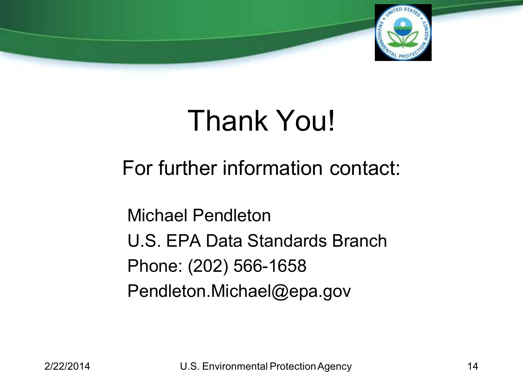

# Thank You!

For further information contact:

Michael Pendleton U.S. EPA Data Standards Branch Phone: (202) 566-1658 Pendleton.Michael@epa.gov